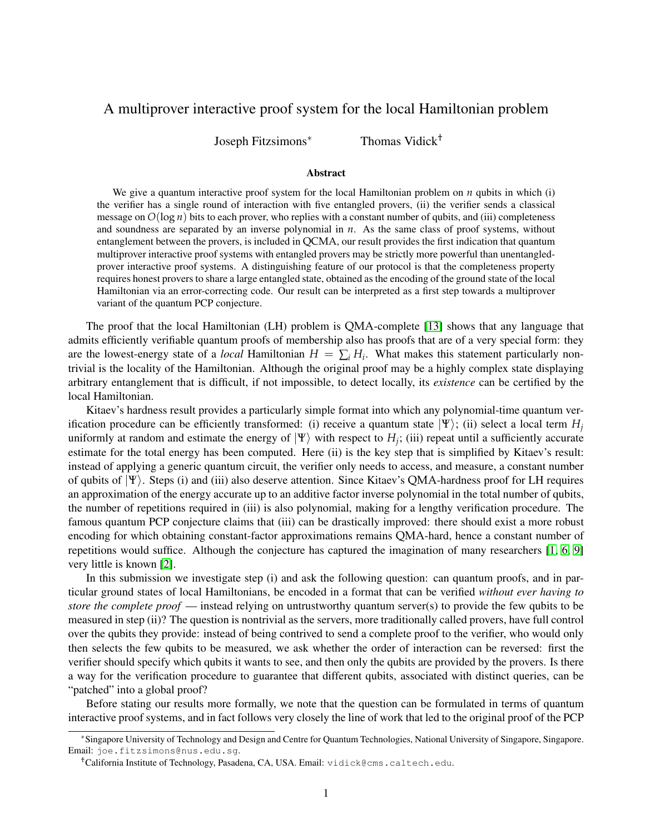## A multiprover interactive proof system for the local Hamiltonian problem

Joseph Fitzsimons<sup>∗</sup> Thomas Vidick†

#### Abstract

We give a quantum interactive proof system for the local Hamiltonian problem on *n* qubits in which (i) the verifier has a single round of interaction with five entangled provers, (ii) the verifier sends a classical message on  $O(\log n)$  bits to each prover, who replies with a constant number of qubits, and (iii) completeness and soundness are separated by an inverse polynomial in *n*. As the same class of proof systems, without entanglement between the provers, is included in QCMA, our result provides the first indication that quantum multiprover interactive proof systems with entangled provers may be strictly more powerful than unentangledprover interactive proof systems. A distinguishing feature of our protocol is that the completeness property requires honest provers to share a large entangled state, obtained as the encoding of the ground state of the local Hamiltonian via an error-correcting code. Our result can be interpreted as a first step towards a multiprover variant of the quantum PCP conjecture.

The proof that the local Hamiltonian (LH) problem is QMA-complete [\[13\]](#page-3-0) shows that any language that admits efficiently verifiable quantum proofs of membership also has proofs that are of a very special form: they are the lowest-energy state of a *local* Hamiltonian  $H = \sum_i H_i$ . What makes this statement particularly nontrivial is the locality of the Hamiltonian. Although the original proof may be a highly complex state displaying arbitrary entanglement that is difficult, if not impossible, to detect locally, its *existence* can be certified by the local Hamiltonian.

Kitaev's hardness result provides a particularly simple format into which any polynomial-time quantum verification procedure can be efficiently transformed: (i) receive a quantum state  $|\Psi\rangle$ ; (ii) select a local term  $H_i$ uniformly at random and estimate the energy of  $|\Psi\rangle$  with respect to  $H_j$ ; (iii) repeat until a sufficiently accurate estimate for the total energy has been computed. Here (ii) is the key step that is simplified by Kitaev's result: instead of applying a generic quantum circuit, the verifier only needs to access, and measure, a constant number of qubits of  $|\Psi\rangle$ . Steps (i) and (iii) also deserve attention. Since Kitaev's QMA-hardness proof for LH requires an approximation of the energy accurate up to an additive factor inverse polynomial in the total number of qubits, the number of repetitions required in (iii) is also polynomial, making for a lengthy verification procedure. The famous quantum PCP conjecture claims that (iii) can be drastically improved: there should exist a more robust encoding for which obtaining constant-factor approximations remains QMA-hard, hence a constant number of repetitions would suffice. Although the conjecture has captured the imagination of many researchers [\[1,](#page-3-1) [6,](#page-3-2) [9\]](#page-3-3) very little is known [\[2\]](#page-3-4).

In this submission we investigate step (i) and ask the following question: can quantum proofs, and in particular ground states of local Hamiltonians, be encoded in a format that can be verified *without ever having to store the complete proof* — instead relying on untrustworthy quantum server(s) to provide the few qubits to be measured in step (ii)? The question is nontrivial as the servers, more traditionally called provers, have full control over the qubits they provide: instead of being contrived to send a complete proof to the verifier, who would only then selects the few qubits to be measured, we ask whether the order of interaction can be reversed: first the verifier should specify which qubits it wants to see, and then only the qubits are provided by the provers. Is there a way for the verification procedure to guarantee that different qubits, associated with distinct queries, can be "patched" into a global proof?

Before stating our results more formally, we note that the question can be formulated in terms of quantum interactive proof systems, and in fact follows very closely the line of work that led to the original proof of the PCP

<sup>∗</sup>Singapore University of Technology and Design and Centre for Quantum Technologies, National University of Singapore, Singapore. Email: joe.fitzsimons@nus.edu.sg.

<sup>†</sup>California Institute of Technology, Pasadena, CA, USA. Email: vidick@cms.caltech.edu.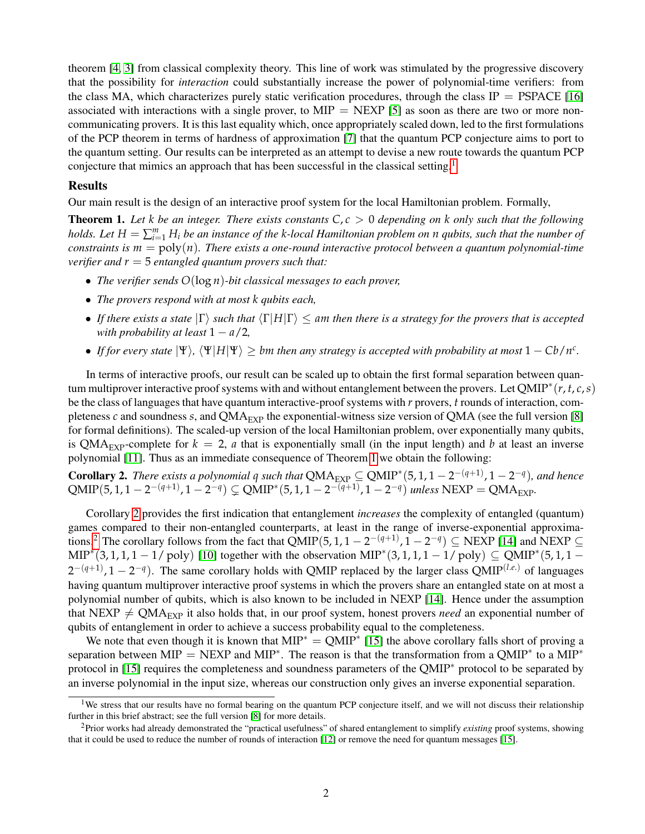theorem [\[4,](#page-3-5) [3\]](#page-3-6) from classical complexity theory. This line of work was stimulated by the progressive discovery that the possibility for *interaction* could substantially increase the power of polynomial-time verifiers: from the class MA, which characterizes purely static verification procedures, through the class IP = PSPACE [\[16\]](#page-3-7) associated with interactions with a single prover, to  $MIP = NEXP$  [\[5\]](#page-3-8) as soon as there are two or more noncommunicating provers. It is this last equality which, once appropriately scaled down, led to the first formulations of the PCP theorem in terms of hardness of approximation [\[7\]](#page-3-9) that the quantum PCP conjecture aims to port to the quantum setting. Our results can be interpreted as an attempt to devise a new route towards the quantum PCP conjecture that mimics an approach that has been successful in the classical setting.<sup>[1](#page-1-0)</sup>

#### **Results**

Our main result is the design of an interactive proof system for the local Hamiltonian problem. Formally,

<span id="page-1-1"></span>**Theorem 1.** Let *k* be an integer. There exists constants  $C, c > 0$  depending on *k* only such that the following *holds. Let*  $H = \sum_{i=1}^{m} H_i$  *be an instance of the k-local Hamiltonian problem on n qubits, such that the number of constraints is*  $m = \text{poly}(n)$ *. There exists a one-round interactive protocol between a quantum polynomial-time verifier and r* = 5 *entangled quantum provers such that:*

- *The verifier sends O*(log *n*)*-bit classical messages to each prover,*
- *The provers respond with at most k qubits each,*
- *If there exists a state*  $|\Gamma\rangle$  *such that*  $\langle \Gamma | H | \Gamma \rangle \le$  *am then there is a strategy for the provers that is accepted with probability at least*  $1 - a/2$ ,
- *If for every state*  $|\Psi\rangle$ ,  $\langle \Psi | H | \Psi \rangle \geq b$ *m then any strategy is accepted with probability at most*  $1 Cb/n^c$ .

In terms of interactive proofs, our result can be scaled up to obtain the first formal separation between quantum multiprover interactive proof systems with and without entanglement between the provers. Let QMIP<sup>∗</sup> (*r*, *t*, *c*,*s*) be the class of languages that have quantum interactive-proof systems with *r* provers, *t* rounds of interaction, completeness  $c$  and soundness  $s$ , and QMA<sub>EXP</sub> the exponential-witness size version of QMA (see the full version [\[8\]](#page-3-10) for formal definitions). The scaled-up version of the local Hamiltonian problem, over exponentially many qubits, is QMA<sub>EXP</sub>-complete for  $k = 2$ , *a* that is exponentially small (in the input length) and *b* at least an inverse polynomial [\[11\]](#page-3-11). Thus as an immediate consequence of Theorem [1](#page-1-1) we obtain the following:

<span id="page-1-2"></span>**Corollary 2.** There exists a polynomial q such that  $QMA_{EXP} \subseteq QMIP^*(5, 1, 1 - 2^{-(q+1)}, 1 - 2^{-q})$ , and hence  $QMIP(5, 1, 1 - 2^{-(q+1)}, 1 - 2^{-q}) \subsetneq QMIP^*(5, 1, 1 - 2^{-(q+1)}, 1 - 2^{-q})$  *unless*  $NEXP = QMA_{EXP}$ .

Corollary [2](#page-1-2) provides the first indication that entanglement *increases* the complexity of entangled (quantum) games compared to their non-entangled counterparts, at least in the range of inverse-exponential approxima-tions.<sup>[2](#page-1-3)</sup> The corollary follows from the fact that QMIP(5, 1, 1 – 2<sup>-(q+1)</sup>, 1 – 2<sup>-q</sup>)  $\subseteq$  NEXP [\[14\]](#page-3-12) and NEXP  $\subseteq$ MIP<sup>\*</sup>(3, 1, 1, 1 – 1/ poly) [\[10\]](#page-3-13) together with the observation MIP<sup>\*</sup>(3, 1, 1, 1 – 1/ poly)  $\subseteq$  QMIP<sup>\*</sup>(5, 1, 1 –  $2^{-(q+1)}$ ,  $1 - 2^{-q}$ ). The same corollary holds with QMIP replaced by the larger class QMIP<sup>(*l.e.*)</sup> of languages having quantum multiprover interactive proof systems in which the provers share an entangled state on at most a polynomial number of qubits, which is also known to be included in NEXP [\[14\]](#page-3-12). Hence under the assumption that NEXP  $\neq QMA_{EXP}$  it also holds that, in our proof system, honest provers *need* an exponential number of qubits of entanglement in order to achieve a success probability equal to the completeness.

We note that even though it is known that  $MIP^* = QMIP^*$  [\[15\]](#page-3-14) the above corollary falls short of proving a separation between MIP = NEXP and MIP<sup>\*</sup>. The reason is that the transformation from a QMIP<sup>\*</sup> to a MIP<sup>\*</sup> protocol in [\[15\]](#page-3-14) requires the completeness and soundness parameters of the QMIP<sup>∗</sup> protocol to be separated by an inverse polynomial in the input size, whereas our construction only gives an inverse exponential separation.

<span id="page-1-0"></span><sup>&</sup>lt;sup>1</sup>We stress that our results have no formal bearing on the quantum PCP conjecture itself, and we will not discuss their relationship further in this brief abstract; see the full version [\[8\]](#page-3-10) for more details.

<span id="page-1-3"></span><sup>2</sup>Prior works had already demonstrated the "practical usefulness" of shared entanglement to simplify *existing* proof systems, showing that it could be used to reduce the number of rounds of interaction [\[12\]](#page-3-15) or remove the need for quantum messages [\[15\]](#page-3-14).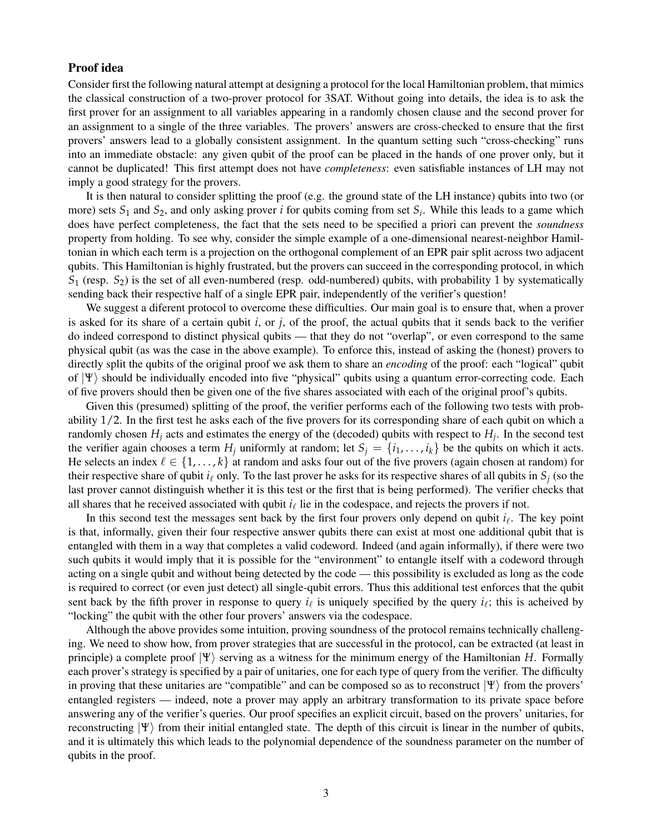### Proof idea

Consider first the following natural attempt at designing a protocol for the local Hamiltonian problem, that mimics the classical construction of a two-prover protocol for 3SAT. Without going into details, the idea is to ask the first prover for an assignment to all variables appearing in a randomly chosen clause and the second prover for an assignment to a single of the three variables. The provers' answers are cross-checked to ensure that the first provers' answers lead to a globally consistent assignment. In the quantum setting such "cross-checking" runs into an immediate obstacle: any given qubit of the proof can be placed in the hands of one prover only, but it cannot be duplicated! This first attempt does not have *completeness*: even satisfiable instances of LH may not imply a good strategy for the provers.

It is then natural to consider splitting the proof (e.g. the ground state of the LH instance) qubits into two (or more) sets  $S_1$  and  $S_2$ , and only asking prover *i* for qubits coming from set  $S_i$ . While this leads to a game which does have perfect completeness, the fact that the sets need to be specified a priori can prevent the *soundness* property from holding. To see why, consider the simple example of a one-dimensional nearest-neighbor Hamiltonian in which each term is a projection on the orthogonal complement of an EPR pair split across two adjacent qubits. This Hamiltonian is highly frustrated, but the provers can succeed in the corresponding protocol, in which  $S_1$  (resp.  $S_2$ ) is the set of all even-numbered (resp. odd-numbered) qubits, with probability 1 by systematically sending back their respective half of a single EPR pair, independently of the verifier's question!

We suggest a diferent protocol to overcome these difficulties. Our main goal is to ensure that, when a prover is asked for its share of a certain qubit  $i$ , or  $j$ , of the proof, the actual qubits that it sends back to the verifier do indeed correspond to distinct physical qubits — that they do not "overlap", or even correspond to the same physical qubit (as was the case in the above example). To enforce this, instead of asking the (honest) provers to directly split the qubits of the original proof we ask them to share an *encoding* of the proof: each "logical" qubit of  $|\Psi\rangle$  should be individually encoded into five "physical" qubits using a quantum error-correcting code. Each of five provers should then be given one of the five shares associated with each of the original proof's qubits.

Given this (presumed) splitting of the proof, the verifier performs each of the following two tests with probability 1/2. In the first test he asks each of the five provers for its corresponding share of each qubit on which a randomly chosen *H<sup>j</sup>* acts and estimates the energy of the (decoded) qubits with respect to *H<sup>j</sup>* . In the second test the verifier again chooses a term  $H_j$  uniformly at random; let  $S_j = \{i_1, \ldots, i_k\}$  be the qubits on which it acts. He selects an index  $\ell \in \{1,\ldots,k\}$  at random and asks four out of the five provers (again chosen at random) for their respective share of qubit  $i_\ell$  only. To the last prover he asks for its respective shares of all qubits in  $S_j$  (so the last prover cannot distinguish whether it is this test or the first that is being performed). The verifier checks that all shares that he received associated with qubit  $i_\ell$  lie in the codespace, and rejects the provers if not.

In this second test the messages sent back by the first four provers only depend on qubit  $i_\ell$ . The key point is that, informally, given their four respective answer qubits there can exist at most one additional qubit that is entangled with them in a way that completes a valid codeword. Indeed (and again informally), if there were two such qubits it would imply that it is possible for the "environment" to entangle itself with a codeword through acting on a single qubit and without being detected by the code — this possibility is excluded as long as the code is required to correct (or even just detect) all single-qubit errors. Thus this additional test enforces that the qubit sent back by the fifth prover in response to query  $i_\ell$  is uniquely specified by the query  $i_\ell$ ; this is acheived by "locking" the qubit with the other four provers' answers via the codespace.

Although the above provides some intuition, proving soundness of the protocol remains technically challenging. We need to show how, from prover strategies that are successful in the protocol, can be extracted (at least in principle) a complete proof  $|\Psi\rangle$  serving as a witness for the minimum energy of the Hamiltonian *H*. Formally each prover's strategy is specified by a pair of unitaries, one for each type of query from the verifier. The difficulty in proving that these unitaries are "compatible" and can be composed so as to reconstruct  $|\Psi\rangle$  from the provers' entangled registers — indeed, note a prover may apply an arbitrary transformation to its private space before answering any of the verifier's queries. Our proof specifies an explicit circuit, based on the provers' unitaries, for reconstructing  $|\Psi\rangle$  from their initial entangled state. The depth of this circuit is linear in the number of qubits, and it is ultimately this which leads to the polynomial dependence of the soundness parameter on the number of qubits in the proof.